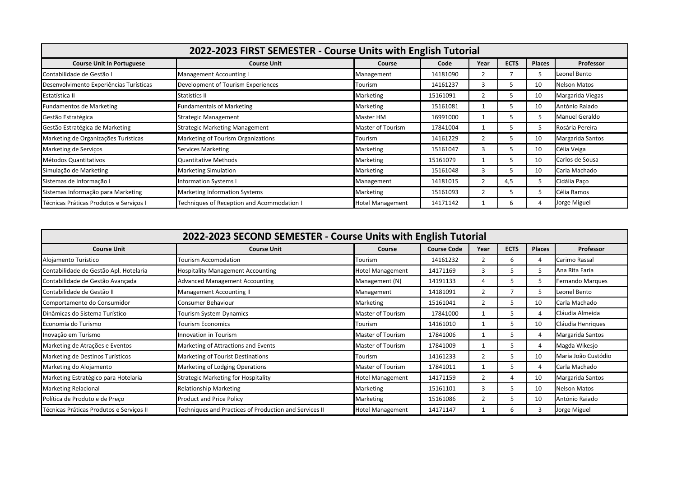| 2022-2023 FIRST SEMESTER - Course Units with English Tutorial |                                            |                         |          |      |             |               |                     |  |  |
|---------------------------------------------------------------|--------------------------------------------|-------------------------|----------|------|-------------|---------------|---------------------|--|--|
| <b>Course Unit in Portuguese</b>                              | <b>Course Unit</b>                         | Course                  | Code     | Year | <b>ECTS</b> | <b>Places</b> | Professor           |  |  |
| Contabilidade de Gestão I                                     | Management Accounting I                    | Management              | 14181090 | 2    |             | 5             | Leonel Bento        |  |  |
| Desenvolvimento Experiências Turísticas                       | Development of Tourism Experiences         | Tourism                 | 14161237 | 3    | 5.          | 10            | <b>Nelson Matos</b> |  |  |
| Estatística II                                                | Statistics II                              | Marketing               | 15161091 | 2    |             | 10            | Margarida Viegas    |  |  |
| <b>Fundamentos de Marketing</b>                               | Fundamentals of Marketing                  | Marketing               | 15161081 |      |             | 10            | António Raiado      |  |  |
| Gestão Estratégica                                            | <b>Strategic Management</b>                | Master HM               | 16991000 |      |             | 5             | Manuel Geraldo      |  |  |
| Gestão Estratégica de Marketing                               | <b>Strategic Marketing Management</b>      | Master of Tourism       | 17841004 |      |             | 5             | Rosária Pereira     |  |  |
| Marketing de Organizações Turísticas                          | Marketing of Tourism Organizations         | Tourism                 | 14161229 | 2    |             | 10            | Margarida Santos    |  |  |
| Marketing de Serviços                                         | <b>Services Marketing</b>                  | Marketing               | 15161047 | 3    |             | 10            | Célia Veiga         |  |  |
| Métodos Quantitativos                                         | <b>Quantitative Methods</b>                | Marketing               | 15161079 |      |             | 10            | Carlos de Sousa     |  |  |
| Simulação de Marketing                                        | <b>Marketing Simulation</b>                | Marketing               | 15161048 | 3    |             | 10            | Carla Machado       |  |  |
| Sistemas de Informação I                                      | Information Systems I                      | Management              | 14181015 | 2    | 4,5         | 5             | Cidália Paço        |  |  |
| Sistemas Informação para Marketing                            | <b>Marketing Information Systems</b>       | Marketing               | 15161093 | 2    |             | 5             | Célia Ramos         |  |  |
| Técnicas Práticas Produtos e Servicos I                       | Techniques of Reception and Acommodation I | <b>Hotel Management</b> | 14171142 |      | 6           | 4             | Jorge Miguel        |  |  |

| 2022-2023 SECOND SEMESTER - Course Units with English Tutorial |                                                        |                          |                    |                |             |               |                         |  |  |
|----------------------------------------------------------------|--------------------------------------------------------|--------------------------|--------------------|----------------|-------------|---------------|-------------------------|--|--|
| <b>Course Unit</b>                                             | <b>Course Unit</b>                                     | Course                   | <b>Course Code</b> | Year           | <b>ECTS</b> | <b>Places</b> | <b>Professor</b>        |  |  |
| Alojamento Turístico                                           | Tourism Accomodation                                   | Tourism                  | 14161232           | $\overline{2}$ | 6           |               | Carimo Rassal           |  |  |
| Contabilidade de Gestão Apl. Hotelaria                         | <b>Hospitality Management Accounting</b>               | Hotel Management         | 14171169           | 3              |             | 5             | Ana Rita Faria          |  |  |
| Contabilidade de Gestão Avançada                               | <b>Advanced Management Accounting</b>                  | Management (N)           | 14191133           | 4              |             | 5             | <b>Fernando Marques</b> |  |  |
| Contabilidade de Gestão II                                     | Management Accounting II                               | Management               | 14181091           | 2              |             | 5             | Leonel Bento            |  |  |
| Comportamento do Consumidor                                    | Consumer Behaviour                                     | Marketing                | 15161041           | 2              |             | 10            | Carla Machado           |  |  |
| Dinâmicas do Sistema Turístico                                 | Tourism System Dynamics                                | <b>Master of Tourism</b> | 17841000           |                | 5.          | 4             | Cláudia Almeida         |  |  |
| Economia do Turismo                                            | <b>Tourism Economics</b>                               | Tourism                  | 14161010           |                | 5.          | 10            | Cláudia Henriques       |  |  |
| Inovação em Turismo                                            | Innovation in Tourism                                  | Master of Tourism        | 17841006           |                |             | 4             | Margarida Santos        |  |  |
| Marketing de Atrações e Eventos                                | Marketing of Attractions and Events                    | Master of Tourism        | 17841009           |                | 5.          | 4             | Magda Wikesjo           |  |  |
| Marketing de Destinos Turísticos                               | Marketing of Tourist Destinations                      | Tourism                  | 14161233           | 2              | 5.          | 10            | Maria João Custódio     |  |  |
| Marketing do Alojamento                                        | Marketing of Lodging Operations                        | Master of Tourism        | 17841011           |                |             | 4             | Carla Machado           |  |  |
| Marketing Estratégico para Hotelaria                           | <b>Strategic Marketing for Hospitality</b>             | <b>Hotel Management</b>  | 14171159           | 2              | 4           | 10            | Margarida Santos        |  |  |
| <b>Marketing Relacional</b>                                    | <b>Relationship Marketing</b>                          | Marketing                | 15161101           | 3              | 5.          | 10            | <b>Nelson Matos</b>     |  |  |
| Política de Produto e de Preço                                 | Product and Price Policy                               | Marketing                | 15161086           | $\overline{2}$ |             | 10            | António Raiado          |  |  |
| Técnicas Práticas Produtos e Serviços II                       | Techniques and Practices of Production and Services II | <b>Hotel Management</b>  | 14171147           |                | h           |               | Jorge Miguel            |  |  |